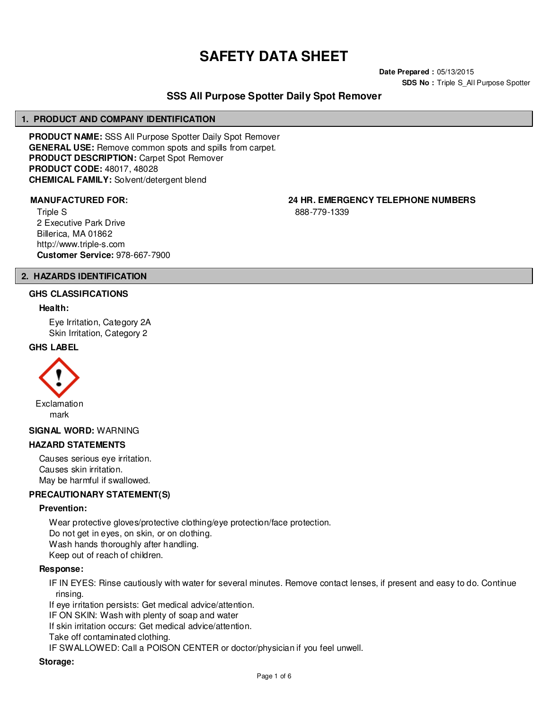# **SAFETY DATA SHEET**

**Date Prepared :** 05/13/2015 **SDS No : Triple S All Purpose Spotter** 

# **SSS All Purpose Spotter Daily Spot Remover**

#### **1. PRODUCT AND COMPANY IDENTIFICATION**

**PRODUCT NAME:** SSS All Purpose Spotter Daily Spot Remover **GENERAL USE:** Remove common spots and spills from carpet. **PRODUCT DESCRIPTION:** Carpet Spot Remover **PRODUCT CODE:** 48017, 48028 **CHEMICAL FAMILY:** Solvent/detergent blend

Triple S 2 Executive Park Drive Billerica, MA 01862 http://www.triple-s.com **Customer Service:** 978-667-7900

**MANUFACTURED FOR: 24 HR. EMERGENCY TELEPHONE NUMBERS**

888-779-1339

#### **2. HAZARDS IDENTIFICATION**

#### **GHS CLASSIFICATIONS**

#### **Health:**

Eye Irritation, Category 2A Skin Irritation, Category 2

#### **GHS LABEL**



#### **SIGNAL WORD:** WARNING

#### **HAZARD STATEMENTS**

Causes serious eye irritation. Causes skin irritation. May be harmful if swallowed.

#### **PRECAUTIONARY STATEMENT(S)**

#### **Prevention:**

Wear protective gloves/protective clothing/eye protection/face protection. Do not get in eyes, on skin, or on clothing. Wash hands thoroughly after handling. Keep out of reach of children.

#### **Response:**

IF IN EYES: Rinse cautiously with water for several minutes. Remove contact lenses, if present and easy to do. Continue rinsing.

If eye irritation persists: Get medical advice/attention.

IF ON SKIN: Wash with plenty of soap and water

If skin irritation occurs: Get medical advice/attention.

Take off contaminated clothing.

IF SWALLOWED: Call a POISON CENTER or doctor/physician if you feel unwell.

#### **Storage:**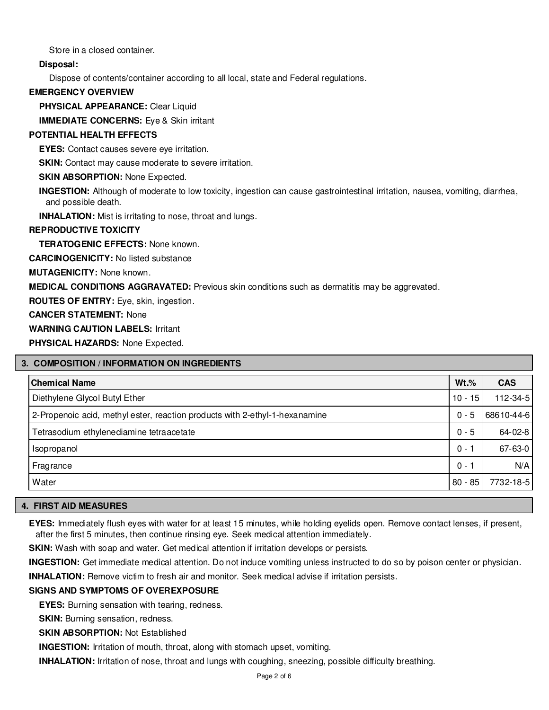Store in a closed container.

# **Disposal:**

Dispose of contents/container according to all local, state and Federal regulations.

# **EMERGENCY OVERVIEW**

**PHYSICAL APPEARANCE:** Clear Liquid

**IMMEDIATE CONCERNS:** Eye & Skin irritant

# **POTENTIAL HEALTH EFFECTS**

**EYES:** Contact causes severe eye irritation.

**SKIN:** Contact may cause moderate to severe irritation.

# **SKIN ABSORPTION: None Expected.**

**INGESTION:** Although of moderate to low toxicity, ingestion can cause gastrointestinal irritation, nausea, vomiting, diarrhea, and possible death.

**INHALATION:** Mist is irritating to nose, throat and lungs.

# **REPRODUCTIVE TOXICITY**

**TERATOGENIC EFFECTS:** None known.

**CARCINOGENICITY:** No listed substance

**MUTAGENICITY:** None known.

**MEDICAL CONDITIONS AGGRAVATED:** Previous skin conditions such as dermatitis may be aggrevated.

**ROUTES OF ENTRY:** Eye, skin, ingestion.

**CANCER STATEMENT:** None

**WARNING CAUTION LABELS:** Irritant

**PHYSICAL HAZARDS:** None Expected.

# **3. COMPOSITION / INFORMATION ON INGREDIENTS**

| <b>Chemical Name</b>                                                        | $Wt.\%$   | <b>CAS</b> |
|-----------------------------------------------------------------------------|-----------|------------|
| Diethylene Glycol Butyl Ether                                               | $10 - 15$ | 112-34-5   |
| 2-Propenoic acid, methyl ester, reaction products with 2-ethyl-1-hexanamine | $0 - 5$   | 68610-44-6 |
| Tetrasodium ethylenediamine tetraacetate                                    | $0 - 5$   | 64-02-8    |
| Isopropanol                                                                 | $0 - 1$   | 67-63-0    |
| Fragrance                                                                   | $0 - 1$   | N/A        |
| Water                                                                       | $80 - 85$ | 7732-18-5  |

#### **4. FIRST AID MEASURES**

**EYES:** Immediately flush eyes with water for at least 15 minutes, while holding eyelids open. Remove contact lenses, if present, after the first 5 minutes, then continue rinsing eye. Seek medical attention immediately.

**SKIN:** Wash with soap and water. Get medical attention if irritation develops or persists.

**INGESTION:** Get immediate medical attention. Do not induce vomiting unless instructed to do so by poison center or physician.

**INHALATION:** Remove victim to fresh air and monitor. Seek medical advise if irritation persists.

# **SIGNS AND SYMPTOMS OF OVEREXPOSURE**

**EYES:** Burning sensation with tearing, redness.

**SKIN:** Burning sensation, redness.

**SKIN ABSORPTION: Not Established** 

**INGESTION:** Irritation of mouth, throat, along with stomach upset, vomiting.

**INHALATION:** Irritation of nose, throat and lungs with coughing, sneezing, possible difficulty breathing.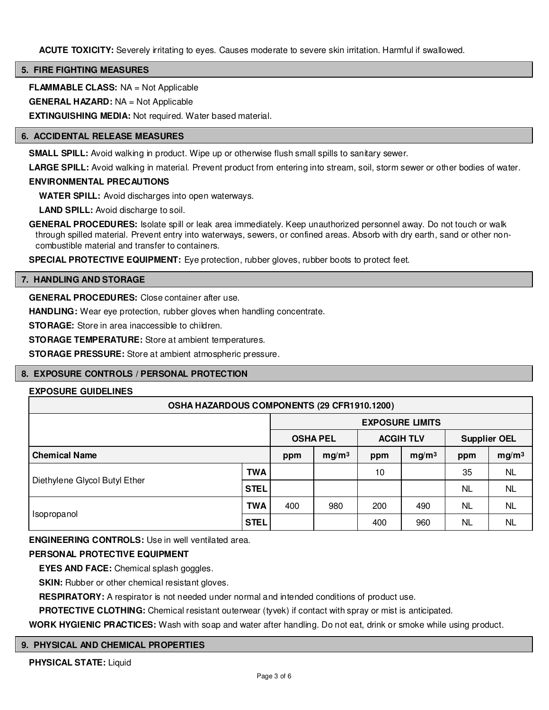**ACUTE TOXICITY:** Severely irritating to eyes. Causes moderate to severe skin irritation. Harmful if swallowed.

#### **5. FIRE FIGHTING MEASURES**

**FLAMMABLE CLASS:** NA = Not Applicable

**GENERAL HAZARD:** NA = Not Applicable

**EXTINGUISHING MEDIA:** Not required. Water based material.

#### **6. ACCIDENTAL RELEASE MEASURES**

**SMALL SPILL:** Avoid walking in product. Wipe up or otherwise flush small spills to sanitary sewer.

**LARGE SPILL:** Avoid walking in material. Prevent product from entering into stream, soil, storm sewer or other bodies of water.

#### **ENVIRONMENTAL PRECAUTIONS**

**WATER SPILL:** Avoid discharges into open waterways.

**LAND SPILL:** Avoid discharge to soil.

**GENERAL PROCEDURES:** Isolate spill or leak area immediately. Keep unauthorized personnel away. Do not touch or walk through spilled material. Prevent entry into waterways, sewers, or confined areas. Absorb with dry earth, sand or other noncombustible material and transfer to containers.

**SPECIAL PROTECTIVE EQUIPMENT:** Eye protection, rubber gloves, rubber boots to protect feet.

#### **7. HANDLING AND STORAGE**

**GENERAL PROCEDURES:** Close container after use.

**HANDLING:** Wear eye protection, rubber gloves when handling concentrate.

**STORAGE:** Store in area inaccessible to children.

**STORAGE TEMPERATURE:** Store at ambient temperatures.

**STORAGE PRESSURE:** Store at ambient atmospheric pressure.

#### **8. EXPOSURE CONTROLS / PERSONAL PROTECTION**

# **EXPOSURE GUIDELINES**

| OSHA HAZARDOUS COMPONENTS (29 CFR1910.1200) |             |                        |                   |                  |                   |                     |                   |
|---------------------------------------------|-------------|------------------------|-------------------|------------------|-------------------|---------------------|-------------------|
|                                             |             | <b>EXPOSURE LIMITS</b> |                   |                  |                   |                     |                   |
|                                             |             | <b>OSHA PEL</b>        |                   | <b>ACGIH TLV</b> |                   | <b>Supplier OEL</b> |                   |
| <b>Chemical Name</b>                        |             | ppm                    | mg/m <sup>3</sup> | ppm              | mg/m <sup>3</sup> | ppm                 | mg/m <sup>3</sup> |
|                                             | <b>TWA</b>  |                        |                   | 10               |                   | 35                  | <b>NL</b>         |
| Diethylene Glycol Butyl Ether               | <b>STEL</b> |                        |                   |                  |                   | <b>NL</b>           | <b>NL</b>         |
|                                             | <b>TWA</b>  | 400                    | 980               | 200              | 490               | <b>NL</b>           | <b>NL</b>         |
| Isopropanol                                 | <b>STEL</b> |                        |                   | 400              | 960               | NL                  | <b>NL</b>         |

**ENGINEERING CONTROLS:** Use in well ventilated area.

#### **PERSONAL PROTECTIVE EQUIPMENT**

**EYES AND FACE:** Chemical splash goggles.

**SKIN:** Rubber or other chemical resistant gloves.

**RESPIRATORY:** A respirator is not needed under normal and intended conditions of product use.

**PROTECTIVE CLOTHING:** Chemical resistant outerwear (tyvek) if contact with spray or mist is anticipated.

**WORK HYGIENIC PRACTICES:** Wash with soap and water after handling. Do not eat, drink or smoke while using product.

#### **9. PHYSICAL AND CHEMICAL PROPERTIES**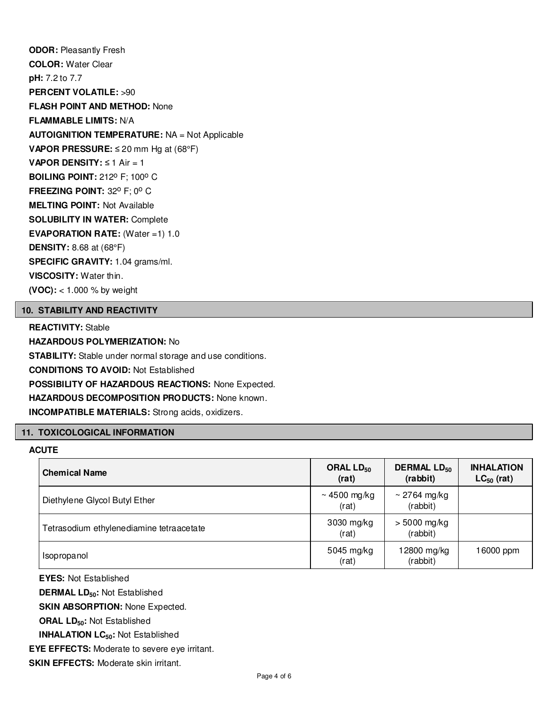**ODOR:** Pleasantly Fresh **COLOR:** Water Clear **pH:** 7.2 to 7.7 **PERCENT VOLATILE:** >90 **FLASH POINT AND METHOD:** None **FLAMMABLE LIMITS:** N/A **AUTOIGNITION TEMPERATURE:** NA = Not Applicable **VAPOR PRESSURE:** ≤ 20 mm Hg at (68°F) **VAPOR DENSITY:** ≤ 1 Air = 1 **BOILING POINT: 212° F; 100° C FREEZING POINT: 32° F; 0° C MELTING POINT:** Not Available **SOLUBILITY IN WATER:** Complete **EVAPORATION RATE:** (Water =1) 1.0 **DENSITY:** 8.68 at (68°F) **SPECIFIC GRAVITY:** 1.04 grams/ml. **VISCOSITY:** Water thin. **(VOC):** < 1.000 % by weight

#### **10. STABILITY AND REACTIVITY**

**REACTIVITY:** Stable **HAZARDOUS POLYMERIZATION:** No **STABILITY:** Stable under normal storage and use conditions. **CONDITIONS TO AVOID:** Not Established **POSSIBILITY OF HAZARDOUS REACTIONS:** None Expected. **HAZARDOUS DECOMPOSITION PRODUCTS:** None known. **INCOMPATIBLE MATERIALS:** Strong acids, oxidizers.

#### **11. TOXICOLOGICAL INFORMATION**

#### **ACUTE**

| <b>Chemical Name</b>                     | ORAL $LD_{50}$<br>(rat) | <b>DERMAL LD<sub>50</sub></b><br>(rabbit) | <b>INHALATION</b><br>$LC_{50}$ (rat) |
|------------------------------------------|-------------------------|-------------------------------------------|--------------------------------------|
| Diethylene Glycol Butyl Ether            | ~4500 mg/kg<br>(rat)    | ~ 2764 mg/kg<br>(rabbit)                  |                                      |
| Tetrasodium ethylenediamine tetraacetate | 3030 mg/kg<br>(rat)     | $> 5000$ mg/kg<br>(rabbit)                |                                      |
| Isopropanol                              | 5045 mg/kg<br>(rat)     | 12800 mg/kg<br>(rabbit)                   | 16000 ppm                            |

**EYES:** Not Established

**DERMAL LD50:** Not Established

**SKIN ABSORPTION: None Expected.** 

**ORAL LD50:** Not Established

**INHALATION LC50:** Not Established

**EYE EFFECTS:** Moderate to severe eye irritant.

**SKIN EFFECTS: Moderate skin irritant.**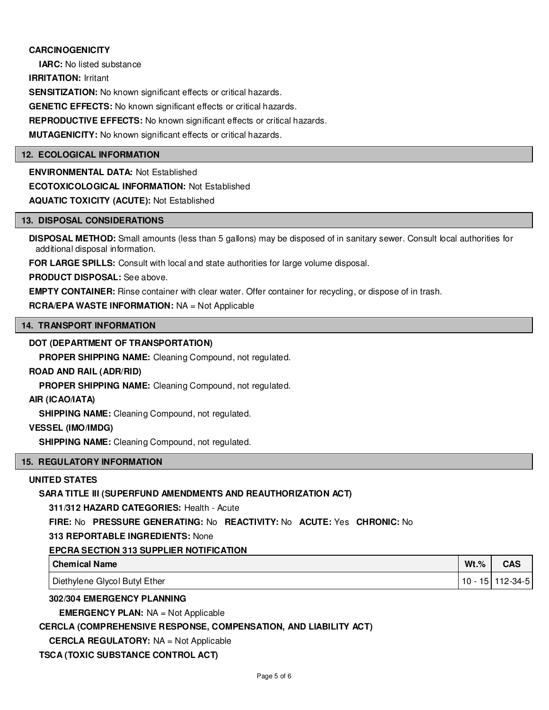# **CARCINOGENICITY**

**IARC:** No listed substance **IRRITATION:** Irritant **SENSITIZATION:** No known significant effects or critical hazards. **GENETIC EFFECTS:** No known significant effects or critical hazards. **REPRODUCTIVE EFFECTS:** No known significant effects or critical hazards. **MUTAGENICITY:** No known significant effects or critical hazards.

#### **12. ECOLOGICAL INFORMATION**

**ENVIRONMENTAL DATA:** Not Established **ECOTOXICOLOGICAL INFORMATION:** Not Established **AQUATIC TOXICITY (ACUTE):** Not Established

#### **13. DISPOSAL CONSIDERATIONS**

**DISPOSAL METHOD:** Small amounts (less than 5 gallons) may be disposed of in sanitary sewer. Consult local authorities for additional disposal information.

**FOR LARGE SPILLS:** Consult with local and state authorities for large volume disposal.

**PRODUCT DISPOSAL:** See above.

**EMPTY CONTAINER:** Rinse container with clear water. Offer container for recycling, or dispose of in trash.

**RCRA/EPA WASTE INFORMATION:** NA = Not Applicable

# **14. TRANSPORT INFORMATION**

#### **DOT (DEPARTMENT OF TRANSPORTATION)**

**PROPER SHIPPING NAME:** Cleaning Compound, not regulated.

#### **ROAD AND RAIL (ADR/RID)**

**PROPER SHIPPING NAME:** Cleaning Compound, not regulated.

#### **AIR (ICAO/IATA)**

**SHIPPING NAME:** Cleaning Compound, not regulated.

#### **VESSEL (IMO/IMDG)**

**SHIPPING NAME:** Cleaning Compound, not regulated.

#### **15. REGULATORY INFORMATION**

#### **UNITED STATES**

#### **SARA TITLE III (SUPERFUND AMENDMENTS AND REAUTHORIZATION ACT)**

**311/312 HAZARD CATEGORIES:** Health - Acute

**FIRE:** No **PRESSURE GENERATING:** No **REACTIVITY:** No **ACUTE:** Yes **CHRONIC:** No

#### **313 REPORTABLE INGREDIENTS:** None

# **EPCRA SECTION 313 SUPPLIER NOTIFICATION**

| l Chemical Name               | $Wt.\%$ | CAS         |
|-------------------------------|---------|-------------|
| Diethylene Glycol Butyl Ether | 10 -    | 15 112-34-5 |

#### **302/304 EMERGENCY PLANNING**

**EMERGENCY PLAN:** NA = Not Applicable

#### **CERCLA (COMPREHENSIVE RESPONSE, COMPENSATION, AND LIABILITY ACT)**

**CERCLA REGULATORY:** NA = Not Applicable

**TSCA (TOXIC SUBSTANCE CONTROL ACT)**